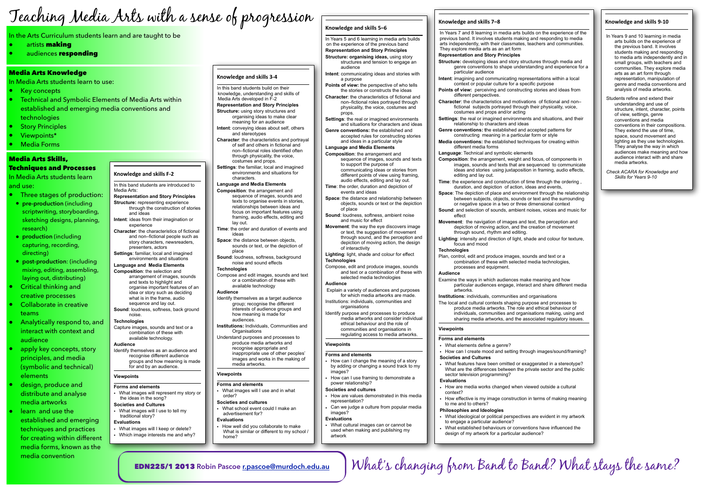- In Years 5 and 6 learning in media arts builds on the experience of the previous band **Representation and Story Principles Structure: organising ideas,** using story
- structures and tension to engage an audience
- **Intent**: communicating ideas and stories with a purpose
- **Points of view:** the perspective of who tells the stories or constructs the ideas **Character**: the characteristics of fictional and
- non–fictional roles portrayed through physicality, the voice, costumes and props.
- **Settings**: the real or imagined environments and situations for characters and ideas
- **Genre conventions:** the established and accepted rules for constructing stories and ideas in a particular style

#### **Language and Media Elements**

- **Composition**: the arrangement and sequence of images, sounds and texts to support the purpose of communicating ideas or stories from different points of view using framing, audio effects, editing and lay out.
- **Time**: the order, duration and depiction of events and ideas
- **Space**: the distance and relationship between objects, sounds or text or the depiction of place
- **Sound**: loudness, softness, ambient noise and music for effect
- **Movement**: the way the eye discovers image or text, the suggestion of movement through sound, and the perception and depiction of moving action, the design of interactivity
- **Lighting**: light, shade and colour for effect **Technologies**
- Compose, edit and produce images, sounds and text or a combination of these with selected media technologies
- **Key concepts**
- Technical and Symbolic Elements of Media Arts within established and emerging media conventions and technologies
- **Story Principles**
- Viewpoints\*
- Media Forms

#### **Audience**

- Explain a variety of audiences and purposes for which media artworks are made. Institutions: individuals, communities and
- organisations Identify purpose and processes to produce
- media artworks and consider individual ethical behaviour and the role of communities and organisations in regulating access to media artworks.

#### **Knowledge and skills F-2** In this band students are introduced to Media Arts:

#### **Viewpoints**

#### **Forms and elements**

- How can I change the meaning of a story by adding or changing a sound track to my images?
- How can I use framing to demonstrate a power relationship?

#### **Societies and cultures**

- How are values demonstrated in this media representation?
- Can we judge a culture from popular media images?

#### **Evaluations**

• What cultural images can or cannot be used when making and publishing my artwork

#### Knowledge and skills 7-8

What's changing from Band to Band? What stays the same?

# Teaching Media Arts with a sense of progression  $\frac{1}{\text{Knowledges and skills 5-6}}$

In the Arts Curriculum students learn and are taught to be

- artists **making**
- audiences responding

#### Media Arts Knowledge

In Media Arts students learn to use:

## Media Arts Skills, Techniques and Processes

In Media Arts students learn and use:

- Three stages of production:
- **pre-production** (including scriptwriting, storyboarding, sketching designs, planning, research)
- **production** (including capturing, recording, directing)
- **post-production**: (including mixing, editing, assembling, laying out, distributing)
- Critical thinking and creative processes
- Collaborate in creative teams
- Analytically respond to, and interact with context and audience
- apply key concepts, story principles, and media (symbolic and technical) elements
- design, produce and distribute and analyse media artworks
- learn and use the established and emerging techniques and practices for creating within different media forms, known as the media convention

- Structure: developing ideas and story structures through media and
- genre conventions to shape understanding and experience for a particular audience

- **Representation and Story Principles Structure:** representing experience through the construction of stories and ideas **Intent**: ideas from their imagination or
- experience **Character**: the characteristics of fictional and non–fictional people such as story characters, newsreaders, presenters, actors
- **Settings**: familiar, local and imagined environments and situations

## **Language and Media Elements**

- **Composition**: the selection and arrangement of images, sounds and texts to highlight and organise important features of an idea or story such as deciding what is in the frame, audio sequence and lay out.
- **Sound**: loudness, softness, back ground noise.

#### **Technologies**

Capture images, sounds and text or a combination of these with available technology.

#### **Audience**

Identify themselves as an audience and recognise different audience groups and how meaning is made for and by an audience.

#### **Viewpoints**

- **Forms and elements**  • What images will represent my story or the ideas in the song?
- **Societies and Cultures**  • What images will I use to tell my
- traditional story? **Evaluations**

#### • What images will I keep or delete?

- Which image interests me and why?
- 

#### **Knowledge and skills 3-4**

- In this band students build on their knowledge, understanding and skills of
- Media Arts developed in F-2 **Representation and Story Principles**
- **Structure:** using story structures and organising ideas to make clear meaning for an audience **Intent**: conveying ideas about self, others
- and stereotypes
- **Character**: the characteristics and portrayal of self and others in fictional and non–fictional roles identified often through physicality, the voice, costumes and props.
- **Settings**: the familiar, local and imagined environments and situations for characters.

#### **Language and Media Elements**

- **Composition**: the arrangement and sequence of images, sounds and texts to organise events in stories, relationships between ideas and focus on important features using framing, audio effects, editing and lay out.
- **Time**: the order and duration of events and ideas
- **Space:** the distance between objects. sounds or text, or the depiction of place
- **Sound**: loudness, softness, background noise and sound effects

#### **Technologies**

Compose and edit images, sounds and text or a combination of these with available technology

#### **Audience**

- Identify themselves as a target audience group; recognise the different interests of audience groups and how meaning is made for audiences.
- **Institutions:** Individuals, Communities and **Organisations**
- Understand purposes and processes to produce media artworks and recognise appropriate and inappropriate use of other peoples' images and works in the making of media artworks.

#### **Viewpoints**

#### **Forms and elements**

• What images will I use and in what order?

#### **Societies and cultures**

• What school event could I make an advertisement for?

#### **Evaluations**

• How well did you collaborate to make What is similar or different to my school / home?

In Years 7 and 8 learning in media arts builds on the experience of the previous band. It involves students making and responding to media arts independently, with their classmates, teachers and communities. They explore media arts as an art form **Representation and Story Principles** 

different perspectives.

costumes and props and/or acting

relationship to characters and ideas

different media forms **Language**: Technical and symbolic elements

editing and lay out.

effect

- 
- **Intent**: imagining and communicating representations within a local context or popular culture for a specific purpose **Points of view:** perceiving and constructing stories and ideas from
	-
- **Character**: the characteristics and motivations of fictional and non– fictional subjects portrayed through their physicality, voice,
- **Settings**: the real or imagined environments and situations, and their
- **Genre conventions: t**he established and accepted patterns for constructing meaning in a particular form or style **Media conventions:** the established techniques for creating within
- **Composition**: the arrangement, weight and focus, of components in images, sounds and texts that are sequenced to communicate ideas and stories using juxtaposition in framing, audio effects,
- **Time**: the experience and construction of time through the ordering , duration, and depiction, of action, ideas and events **Space**: The depiction of place and environment through the relationship between subjects, objects, sounds or text and the surrounding or negative space in a two or three dimensional context **Sound**: and selection of sounds, ambient noises, voices and music for
- **Movement**: the navigation of images and text, the perception and depiction of moving action, and the creation of movement
- **Lighting**: intensity and direction of light, shade and colour for texture,
- Plan, control, edit and produce images, sounds and text or a combination of these with selected media technologies,
- Examine the ways in which audiences make meaning and how particular audiences engage, interact and share different media
- **Institutions**: individuals, communities and organisations The local and cultural contexts shaping purpose and processes to produce media artworks. The role and ethical behaviour of individuals, communities and organisations making, using and sharing media artworks, and the associated regulatory issues.
- How can I create mood and setting through images/sound/framing?
- What features have been omitted or exaggerated in a stereotype? What are the differences between the private sector and the public
- How are media works changed when viewed outside a cultural
- How effective is my image construction in terms of making meaning
- What ideological or political perspectives are evident in my artwork
- What established behaviours or conventions have influenced the design of my artwork for a particular audience?

through sound, rhythm and editing.

focus and mood

**Technologies** 

processes and equipment.

**Audience** 

artworks.

**Viewpoints**

**Forms and elements** 

• What elements define a genre?

**Societies and Cultures** 

sector television programming?

**Evaluations**

context?

to me and to others? **Philosophies and Ideologies** 

to engage a particular audience?

#### **Knowledge and skills 9-10**

- In Years 9 and 10 learning in media arts builds on the experience of the previous band. It involves students making and responding to media arts independently and in small groups, with teachers and communities. They explore media arts as an art form through representation, manipulation of genre and media conventions and analysis of media artworks.
- Students refine and extend their understanding and use of structure, intent, character, points of view, settings, genre conventions and media conventions in their compositions. They extend the use of time, space, sound movement and lighting as they use technologies. They analyse the way in which audiences make meaning and how audience interact with and share media artworks.
- *Check ACARA for Knowledge and Skills for Years 9-10*

EDN225/1 2013 **Robin Pascoe [r.pascoe@murdoch.edu.au](mailto:r.pascoe@murdoch.edu.au)**